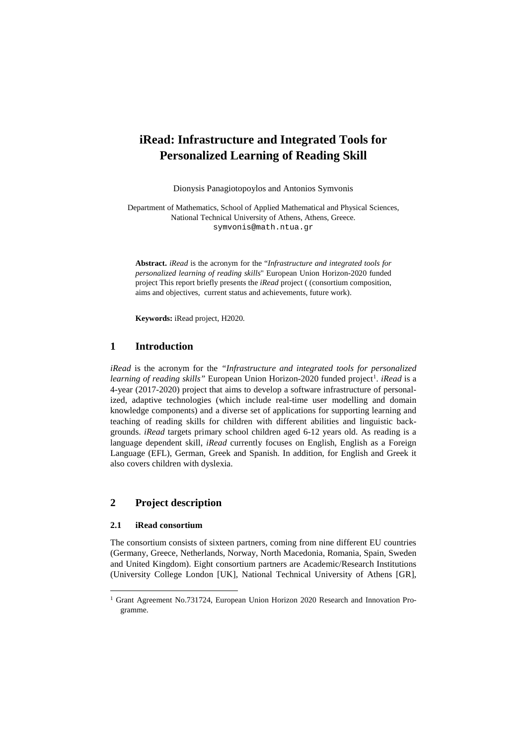# **iRead: Infrastructure and Integrated Tools for Personalized Learning of Reading Skill**

Dionysis Panagiotopoylos and Antonios Symvonis

Department of Mathematics, School of Applied Mathematical and Physical Sciences, National Technical University of Athens, Athens, Greece. symvonis@math.ntua.gr

**Abstract.** *iRead* is the acronym for the "*Infrastructure and integrated tools for personalized learning of reading skills*" European Union Horizon-2020 funded project This report briefly presents the *iRead* project ( (consortium composition, aims and objectives, current status and achievements, future work).

**Keywords:** iRead project, H2020.

## **1 Introduction**

*iRead* is the acronym for the *"Infrastructure and integrated tools for personalized*  learning of reading skills" European Union Horizon-2020 funded project<sup>[1](#page-0-0)</sup>. *iRead* is a 4-year (2017-2020) project that aims to develop a software infrastructure of personalized, adaptive technologies (which include real-time user modelling and domain knowledge components) and a diverse set of applications for supporting learning and teaching of reading skills for children with different abilities and linguistic backgrounds. *iRead* targets primary school children aged 6-12 years old. As reading is a language dependent skill, *iRead* currently focuses on English, English as a Foreign Language (EFL), German, Greek and Spanish. In addition, for English and Greek it also covers children with dyslexia.

## **2 Project description**

### **2.1 iRead consortium**

The consortium consists of sixteen partners, coming from nine different EU countries (Germany, Greece, Netherlands, Norway, North Macedonia, Romania, Spain, Sweden and United Kingdom). Eight consortium partners are Academic/Research Institutions (University College London [UK], National Technical University of Athens [GR],

<span id="page-0-0"></span><sup>&</sup>lt;sup>1</sup> Grant Agreement No.731724, European Union Horizon 2020 Research and Innovation Programme.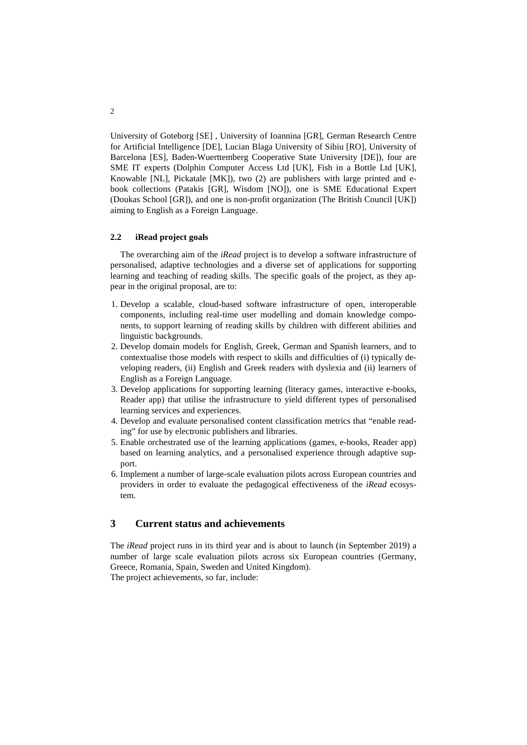University of Goteborg [SE] , University of Ioannina [GR], German Research Centre for Artificial Intelligence [DE], Lucian Blaga University of Sibiu [RO], University of Barcelona [ES], Baden-Wuerttemberg Cooperative State University [DE]), four are SME IT experts (Dolphin Computer Access Ltd [UK], Fish in a Bottle Ltd [UK], Knowable [NL], Pickatale [MK]), two (2) are publishers with large printed and ebook collections (Patakis [GR], Wisdom [NO]), one is SME Educational Expert (Doukas School [GR]), and one is non-profit organization (The British Council [UK]) aiming to English as a Foreign Language.

#### **2.2 iRead project goals**

The overarching aim of the *iRead* project is to develop a software infrastructure of personalised, adaptive technologies and a diverse set of applications for supporting learning and teaching of reading skills. The specific goals of the project, as they appear in the original proposal, are to:

- 1. Develop a scalable, cloud-based software infrastructure of open, interoperable components, including real-time user modelling and domain knowledge components, to support learning of reading skills by children with different abilities and linguistic backgrounds.
- 2. Develop domain models for English, Greek, German and Spanish learners, and to contextualise those models with respect to skills and difficulties of (i) typically developing readers, (ii) English and Greek readers with dyslexia and (ii) learners of English as a Foreign Language.
- 3. Develop applications for supporting learning (literacy games, interactive e-books, Reader app) that utilise the infrastructure to yield different types of personalised learning services and experiences.
- 4. Develop and evaluate personalised content classification metrics that "enable reading" for use by electronic publishers and libraries.
- 5. Enable orchestrated use of the learning applications (games, e-books, Reader app) based on learning analytics, and a personalised experience through adaptive support.
- 6. Implement a number of large-scale evaluation pilots across European countries and providers in order to evaluate the pedagogical effectiveness of the *iRead* ecosystem.

## **3 Current status and achievements**

The *iRead* project runs in its third year and is about to launch (in September 2019) a number of large scale evaluation pilots across six European countries (Germany, Greece, Romania, Spain, Sweden and United Kingdom). The project achievements, so far, include:

2